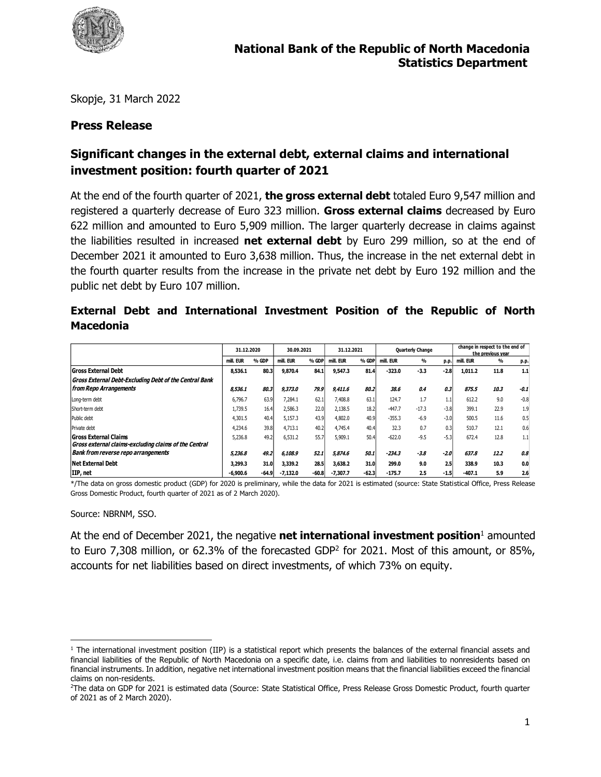

Skopje, 31 March 2022

#### **Press Release**

# **Significant changes in the external debt, external claims and international investment position: fourth quarter of 2021**

At the end of the fourth quarter of 2021, **the gross external debt** totaled Euro 9,547 million and registered a quarterly decrease of Euro 323 million. **Gross external claims** decreased by Euro 622 million and amounted to Euro 5,909 million. The larger quarterly decrease in claims against the liabilities resulted in increased **net external debt** by Euro 299 million, so at the end of December 2021 it amounted to Euro 3,638 million. Thus, the increase in the net external debt in the fourth quarter results from the increase in the private net debt by Euro 192 million and the public net debt by Euro 107 million.

#### **External Debt and International Investment Position of the Republic of North Macedonia**

|                                                        | 31.12.2020 |         | 30.09.2021 |         | 31.12.2021 |         | <b>Quarterly Change</b> |               |        | change in respect to the end of<br>the previous vear |               |        |  |
|--------------------------------------------------------|------------|---------|------------|---------|------------|---------|-------------------------|---------------|--------|------------------------------------------------------|---------------|--------|--|
|                                                        | mill. EUR  | % GDP   | mill. EUR  | % GDP   | mill. EUR  | % GDP   | mill. EUR               | $\frac{0}{0}$ | p.p.   | mill. EUR                                            | $\frac{0}{0}$ | p.p.   |  |
| <b>Gross External Debt</b>                             | 8.536.1    | 80.3    | 9,870.4    | 84.1    | 9,547.3    | 81.4    | $-323.0$                | $-3.3$        | $-2.8$ | 1.011.2                                              | 11.8          | 1.1    |  |
| Gross External Debt-Excluding Debt of the Central Bank |            |         |            |         |            |         |                         |               |        |                                                      |               |        |  |
| from Repo Arrangements                                 | 8.536.1    | 80.3    | 9,373.0    | 79.9    | 9,411.6    | 80.2    | 38.6                    | 0.4           | 0.3    | 875.5                                                | 10.3          | $-0.1$ |  |
| Long-term debt                                         | 6.796.7    | 63.9    | 7,284.1    | 62.1    | 7,408.8    | 63.1    | 124.7                   | 1.7           | 1.1    | 612.2                                                | 9.0           | $-0.8$ |  |
| Short-term debt                                        | 1,739.5    | 16.4    | 2,586.3    | 22.0    | 2,138.5    | 18.2    | $-447.7$                | $-17.3$       | $-3.8$ | 399.1                                                | 22.9          | 1.9    |  |
| Public debt                                            | 4.301.5    | 40.4    | 5.157.3    | 43.9    | 4.802.0    | 40.9    | $-355.3$                | $-6.9$        | $-3.0$ | 500.5                                                | 11.6          | 0.5    |  |
| Private debt                                           | 4,234.6    | 39.8    | 4.713.1    | 40.2    | 4,745.4    | 40.4    | 32.3                    | 0.7           | 0.3    | 510.7                                                | 12.1          | 0.6    |  |
| <b>Gross External Claims</b>                           | 5,236.8    | 49.2    | 6,531.2    | 55.7    | 5,909.1    | 50.4    | $-622.0$                | $-9.5$        | $-5.3$ | 672.4                                                | 12.8          | 1.1    |  |
| Gross external claims-excluding claims of the Central  |            |         |            |         |            |         |                         |               |        |                                                      |               |        |  |
| <b>Bank from reverse repo arrangements</b>             | 5,236.8    | 49.2    | 6,108.9    | 52.1    | 5,874.6    | 50.1    | $-234.3$                | $-3.8$        | $-2.0$ | 637.8                                                | 12.2          | 0.8    |  |
| <b>Net External Debt</b>                               | 3,299.3    | 31.0    | 3,339.2    | 28.5    | 3,638.2    | 31.0    | 299.0                   | 9.0           | 2.5    | 338.9                                                | 10.3          | 0.0    |  |
| IIP, net                                               | $-6.900.6$ | $-64.9$ | $-7.132.0$ | $-60.8$ | $-7.307.7$ | $-62.3$ | $-175.7$                | 2.5           | $-1.5$ | $-407.1$                                             | 5.9           | 2.6    |  |

\*/The data on gross domestic product (GDP) for 2020 is preliminary, while the data for 2021 is estimated (source: State Statistical Office, Press Release Gross Domestic Product, fourth quarter of 2021 as of 2 March 2020).

Source: NBRNM, SSO.

 $\overline{\phantom{a}}$ 

At the end of December 2021, the negative **net international investment position**<sup>1</sup> amounted to Euro 7,308 million, or 62.3% of the forecasted GDP<sup>2</sup> for 2021. Most of this amount, or 85%, accounts for net liabilities based on direct investments, of which 73% on equity.

<sup>&</sup>lt;sup>1</sup> The international investment position (IIP) is a statistical report which presents the balances of the external financial assets and financial liabilities of the Republic of North Macedonia on a specific date, i.e. claims from and liabilities to nonresidents based on financial instruments. In addition, negative net international investment position means that the financial liabilities exceed the financial claims on non-residents.

<sup>&</sup>lt;sup>2</sup>The data on GDP for 2021 is estimated data (Source: State Statistical Office, Press Release Gross Domestic Product, fourth quarter of 2021 as of 2 March 2020).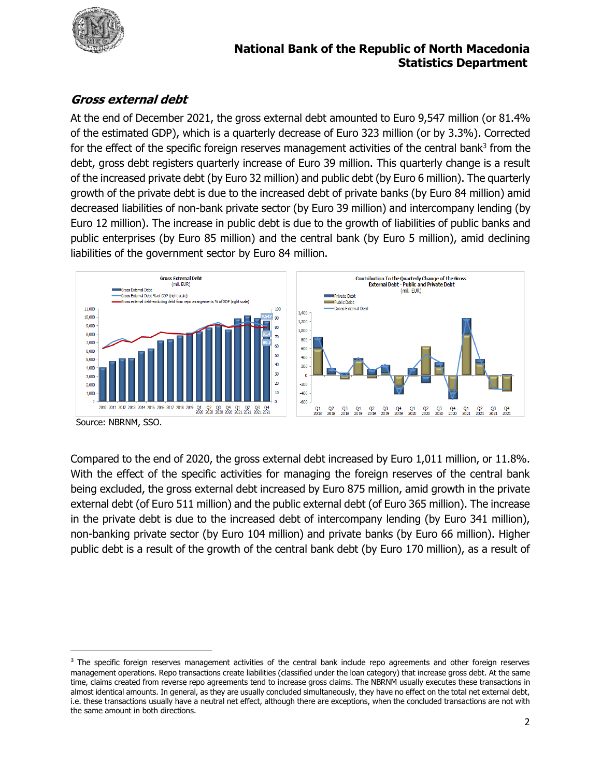

#### **National Bank of the Republic of North Macedonia Statistics Department**

# **Gross external debt**

At the end of December 2021, the gross external debt amounted to Euro 9,547 million (or 81.4% of the estimated GDP), which is a quarterly decrease of Euro 323 million (or by 3.3%). Corrected for the effect of the specific foreign reserves management activities of the central bank<sup>3</sup> from the debt, gross debt registers quarterly increase of Euro 39 million. This quarterly change is a result of the increased private debt (by Euro 32 million) and public debt (by Euro 6 million). The quarterly growth of the private debt is due to the increased debt of private banks (by Euro 84 million) amid decreased liabilities of non-bank private sector (by Euro 39 million) and intercompany lending (by Euro 12 million). The increase in public debt is due to the growth of liabilities of public banks and public enterprises (by Euro 85 million) and the central bank (by Euro 5 million), amid declining liabilities of the government sector by Euro 84 million.



Source: NBRNM, SSO.

 $\overline{\phantom{a}}$ 

Compared to the end of 2020, the gross external debt increased by Euro 1,011 million, or 11.8%. With the effect of the specific activities for managing the foreign reserves of the central bank being excluded, the gross external debt increased by Euro 875 million, amid growth in the private external debt (of Euro 511 million) and the public external debt (of Euro 365 million). The increase in the private debt is due to the increased debt of intercompany lending (by Euro 341 million), non-banking private sector (by Euro 104 million) and private banks (by Euro 66 million). Higher public debt is a result of the growth of the central bank debt (by Euro 170 million), as a result of

<sup>&</sup>lt;sup>3</sup> The specific foreign reserves management activities of the central bank include repo agreements and other foreign reserves management operations. Repo transactions create liabilities (classified under the loan category) that increase gross debt. At the same time, claims created from reverse repo agreements tend to increase gross claims. The NBRNM usually executes these transactions in almost identical amounts. In general, as they are usually concluded simultaneously, they have no effect on the total net external debt, i.e. these transactions usually have a neutral net effect, although there are exceptions, when the concluded transactions are not with the same amount in both directions.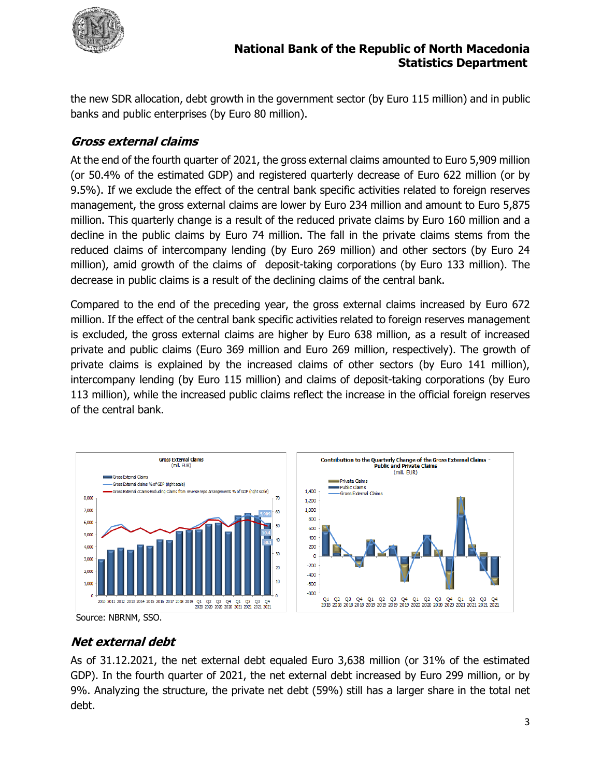

the new SDR allocation, debt growth in the government sector (by Euro 115 million) and in public banks and public enterprises (by Euro 80 million).

### **Gross external claims**

At the end of the fourth quarter of 2021, the gross external claims amounted to Euro 5,909 million (or 50.4% of the estimated GDP) and registered quarterly decrease of Euro 622 million (or by 9.5%). If we exclude the effect of the central bank specific activities related to foreign reserves management, the gross external claims are lower by Euro 234 million and amount to Euro 5,875 million. This quarterly change is a result of the reduced private claims by Euro 160 million and a decline in the public claims by Euro 74 million. The fall in the private claims stems from the reduced claims of intercompany lending (by Euro 269 million) and other sectors (by Euro 24 million), amid growth of the claims of deposit-taking corporations (by Euro 133 million). The decrease in public claims is a result of the declining claims of the central bank.

Compared to the end of the preceding year, the gross external claims increased by Euro 672 million. If the effect of the central bank specific activities related to foreign reserves management is excluded, the gross external claims are higher by Euro 638 million, as a result of increased private and public claims (Euro 369 million and Euro 269 million, respectively). The growth of private claims is explained by the increased claims of other sectors (by Euro 141 million), intercompany lending (by Euro 115 million) and claims of deposit-taking corporations (by Euro 113 million), while the increased public claims reflect the increase in the official foreign reserves of the central bank.



Source: NBRNM, SSO.

# **Net external debt**

As of 31.12.2021, the net external debt equaled Euro 3,638 million (or 31% of the estimated GDP). In the fourth quarter of 2021, the net external debt increased by Euro 299 million, or by 9%. Analyzing the structure, the private net debt (59%) still has a larger share in the total net debt.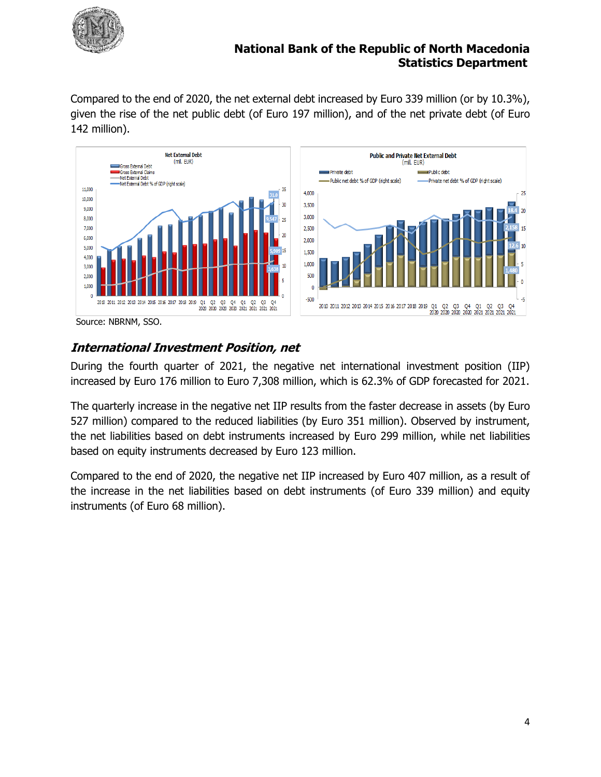

#### **National Bank of the Republic of North Macedonia Statistics Department**

Compared to the end of 2020, the net external debt increased by Euro 339 million (or by 10.3%), given the rise of the net public debt (of Euro 197 million), and of the net private debt (of Euro 142 million).



Source: NBRNM, SSO.

## **International Investment Position, net**

During the fourth quarter of 2021, the negative net international investment position (IIP) increased by Euro 176 million to Euro 7,308 million, which is 62.3% of GDP forecasted for 2021.

The quarterly increase in the negative net IIP results from the faster decrease in assets (by Euro 527 million) compared to the reduced liabilities (by Euro 351 million). Observed by instrument, the net liabilities based on debt instruments increased by Euro 299 million, while net liabilities based on equity instruments decreased by Euro 123 million.

Compared to the end of 2020, the negative net IIP increased by Euro 407 million, as a result of the increase in the net liabilities based on debt instruments (of Euro 339 million) and equity instruments (of Euro 68 million).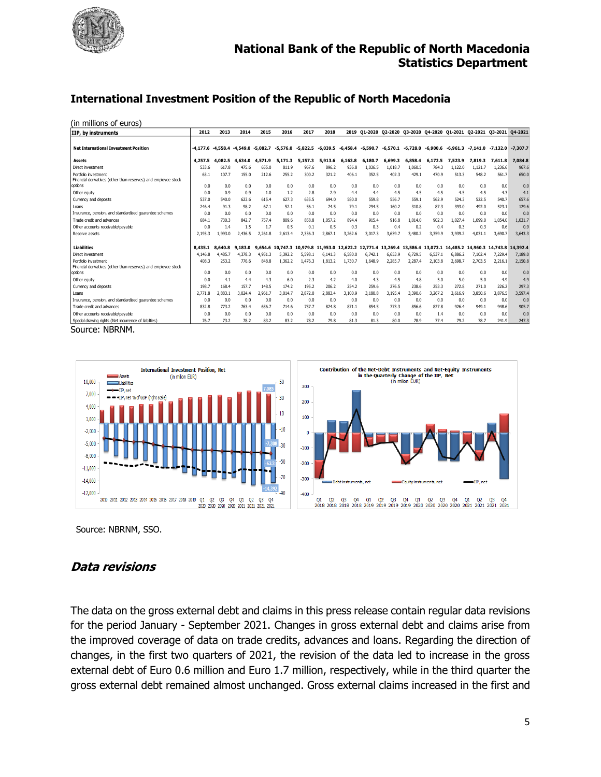

#### **International Investment Position of the Republic of North Macedonia**

(in millions of euros)

| IIP, by instruments                                                                    | 2012           | 2013                             | 2014          | 2015          | 2016           | 2017              | 2018          | 2019          |              |                |                |               | Q1-2020 Q2-2020 Q3-2020 Q4-2020 Q1-2021 Q2-2021 Q3-2021                                 |                |                | 04-2021        |
|----------------------------------------------------------------------------------------|----------------|----------------------------------|---------------|---------------|----------------|-------------------|---------------|---------------|--------------|----------------|----------------|---------------|-----------------------------------------------------------------------------------------|----------------|----------------|----------------|
| <b>Net International Investment Position</b>                                           | $-4,177.6$     | $-4.558.4$ $-4.549.0$ $-5.082.7$ |               |               | $-5,576.0$     | $-5.822.5$        |               |               |              |                |                |               | $-6,039.5$ $-6,458.4$ $-6,590.7$ $-6,570.1$ $-6,728.0$ $-6,900.6$ $-6,961.3$ $-7,141.0$ |                | $-7.132.0$     | $-7.307.7$     |
| Assets                                                                                 | 4,257.5        | 4.082.5                          | 4,634.0       | 4.571.9       | 5.171.3        | 5,157.3           | 5,913.6       | 6,163.8       | 6.180.7      | 6,699.3        | 6,858.4        | 6.172.5       | 7,523.9                                                                                 | 7,819.3        | 7.611.8        | 7,084.8        |
| Direct investment                                                                      | 533.6          | 617.8                            | 475.6         | 655.0         | 811.9          | 967.6             | 896.2         | 936.8         | 1.036.5      | 1.018.7        | 1.060.5        | 784.3         | 1.122.0                                                                                 | 1.121.7        | 1,236.6        | 967.6          |
| Portfolio investment<br>Financial derivatives (other than reserves) and employee stock | 63.1           | 107.7                            | 155.0         | 212.6         | 255.2          | 300.2             | 321.2         | 406.1         | 352.5        | 402.3          | 429.1          | 470.9         | 513.3                                                                                   | 548.2          | 561.7          | 650.0          |
| options                                                                                | 0.0            | 0.0                              | 0.0           | 0.0           | 0.0            | 0.0               | 0.0           | 0.0           | 0.0          | 0.0            | 0.0            | 0.0           | 0.0                                                                                     | 0.0            | 0.0            | 0.0            |
| Other equity                                                                           | 0.0            | 0.9<br>540.0                     | 0.9           | 1.0           | 1.2<br>627.3   | 2.8               | 2.9           | 4.4           | 4.4<br>559.8 | 4.5            | 4.5            | 4.5           | 4.5                                                                                     | 4.5            | 4.3            | 4.1            |
| Currency and deposits<br>Loans                                                         | 537.0<br>246.4 | 91.3                             | 623.6<br>98.2 | 615.4<br>67.1 | 52.1           | 635.5<br>56.1     | 694.0<br>74.5 | 580.0<br>79.1 | 294.5        | 556.7<br>160.2 | 559.1<br>310.8 | 562.9<br>87.3 | 524.3<br>393.0                                                                          | 522.5<br>492.0 | 540.7<br>523.1 | 657.6<br>129.6 |
| Insurance, pension, and standardized quarantee schemes                                 | 0.0            | 0.0                              | 0.0           | 0.0           | 0.0            | 0.0               | 0.0           | 0.0           | 0.0          | 0.0            | 0.0            | 0.0           | 0.0                                                                                     | 0.0            | 0.0            | 0.0            |
| Trade credit and advances                                                              | 684.1          | 730.3                            | 842.7         | 757.4         | 809.6          | 858.8             | 1.057.2       | 894.4         | 915.4        | 916.8          | 1.014.0        | 902.3         | 1.027.4                                                                                 | 1.099.0        | 1.054.0        | 1,031.7        |
| Other accounts receivable/payable                                                      | 0.0            | 1.4                              | 1.5           | 1.7           | 0.5            | 0.1               | 0.5           | 0.3           | 0.3          | 0.4            | 0.2            | 0.4           | 0.3                                                                                     | 0.3            | 0.6            | 0.9            |
| Reserve assets                                                                         | 2,193.3        | 1.993.0                          | 2,436.5       | 2.261.8       | 2.613.4        | 2,336.3           | 2,867.1       | 3,262.6       | 3,017.3      | 3,639.7        | 3,480.2        | 3,359.9       | 3,939.2                                                                                 | 4,031.1        | 3,690.7        | 3,643.3        |
| <b>Liabilities</b>                                                                     | 8,435.1        | 8,640.8                          | 9,183.0       | ٩             | 654.6 10.747.3 | 10.979.8 11.953.0 |               |               |              |                |                |               | 12.622.2 12.771.4 13.269.4 13.586.4 13.073.1 14.485.2 14.960.3 14.743.8 14.392.4        |                |                |                |
| Direct investment                                                                      | 4,146.8        | 4,485.7                          | 4,378.3       | 4.951.3       | 5.392.2        | 5,598.1           | 6,141.3       | 6,580.0       | 6,742.1      | 6,653.9        | 6,729.5        | 6,537.1       | 6.886.2                                                                                 | 7,102.4        | 7,229.4        | 7,189.0        |
| Portfolio investment                                                                   | 408.3          | 253.2                            | 776.6         | 848.8         | 1,362.2        | 1.476.3           | 1.813.2       | 1.730.7       | 1.648.9      | 2.285.7        | 2.287.4        | 2,103.8       | 2.698.7                                                                                 | 2.703.5        | 2,216.1        | 2,150.8        |
| Financial derivatives (other than reserves) and employee stock                         |                |                                  |               |               |                |                   |               |               |              |                |                |               |                                                                                         |                |                |                |
| options                                                                                | 0.0            | 0.0                              | 0.0           | 0.0           | 0.0            | 0.0               | 0.0           | 0.0           | 0.0          | 0.0            | 0.0            | 0.0           | 0.0                                                                                     | 0.0            | 0.0            | 0.0            |
| Other equity                                                                           | 0.0            | 4.1                              | 4.4           | 4.3           | 6.0            | 2.3               | 4.2           | 4.0           | 4.3          | 4.5            | 4.8            | 5.0           | 5.0                                                                                     | 5.0            | 4.9            | 4.9            |
| Currency and deposits                                                                  | 198.7          | 168.4                            | 157.7         | 148.5         | 174.2          | 195.2             | 206.2         | 254.2         | 259.6        | 276.5          | 238.6          | 253.3         | 272.8                                                                                   | 271.0          | 226.2          | 297.3          |
| Loans                                                                                  | 2,771.8        | 2.883.1                          | 3.024.4       | 2.961.7       | 3.014.7        | 2.872.0           | 2.883.4       | 3,100.9       | 3,180.8      | 3.195.4        | 3.390.6        | 3.267.2       | 3.616.9                                                                                 | 3,850.6        | 3.876.5        | 3,597.4        |
| Insurance, pension, and standardized quarantee schemes                                 | 0.0            | 0.0                              | 0.0           | 0.0           | 0.0            | 0.0               | 0.0           | 0.0           | 0.0          | 0.0            | 0.0            | 0.0           | 0.0                                                                                     | 0.0            | 0.0            | 0.0            |
| Trade credit and advances                                                              | 832.8          | 773.2                            | 763.4         | 656.7         | 714.6          | 757.7             | 824.8         | 871.1         | 854.5        | 773.3          | 856.6          | 827.8         | 926.4                                                                                   | 949.1          | 948.6          | 905.7          |
| Other accounts receivable/payable                                                      | 0.0            | 0.0                              | 0.0           | 0.0           | 0.0            | 0.0               | 0.0           | 0.0           | 0.0          | 0.0            | 0.0            | 1.4           | 0.0                                                                                     | 0.0            | 0.0            | 0.0            |
| Special drawing rights (Net incurrence of liabilities)<br>.                            | 76.7           | 73.2                             | 78.2          | 83.2          | 83.2           | 78.2              | 79.8          | 81.3          | 81.3         | 80.0           | 78.9           | 77.4          | 79.2                                                                                    | 78.7           | 241.9          | 247.3          |

Source: NBRNM.



Source: NBRNM, SSO.

#### **Data revisions**

The data on the gross external debt and claims in this press release contain regular data revisions for the period January - September 2021. Changes in gross external debt and claims arise from the improved coverage of data on trade credits, advances and loans. Regarding the direction of changes, in the first two quarters of 2021, the revision of the data led to increase in the gross external debt of Euro 0.6 million and Euro 1.7 million, respectively, while in the third quarter the gross external debt remained almost unchanged. Gross external claims increased in the first and